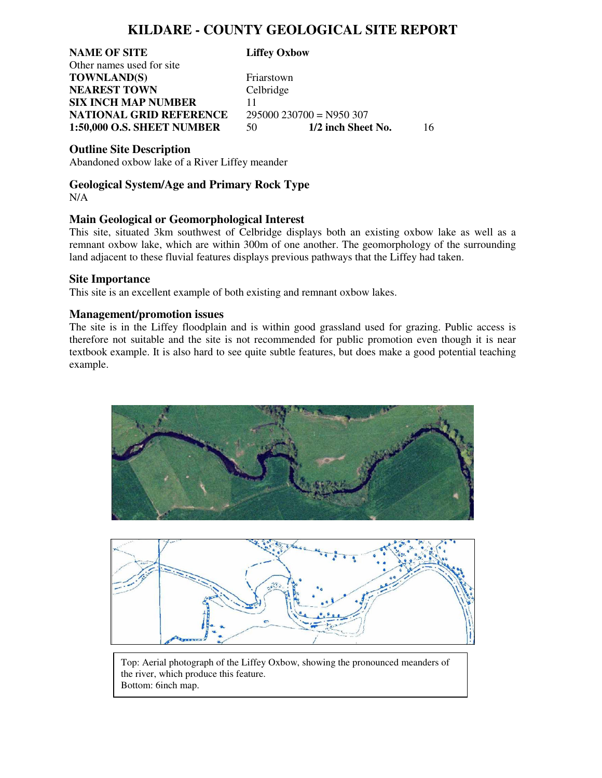## **KILDARE - COUNTY GEOLOGICAL SITE REPORT**

**NAME OF SITE Liffey Oxbow** Other names used for site **TOWNLAND(S)** Friarstown **NEAREST TOWN** Celbridge **SIX INCH MAP NUMBER** 11 **NATIONAL GRID REFERENCE** 295000 230700 = N950 307<br>1:50,000 O.S. SHEET NUMBER 50 1/2 inch Sheet No.

**1:50,000 O.S. SHEET NUMBER** 50 **1/2 inch Sheet No.** 16

**Outline Site Description**

Abandoned oxbow lake of a River Liffey meander

#### **Geological System/Age and Primary Rock Type**  N/A

### **Main Geological or Geomorphological Interest**

This site, situated 3km southwest of Celbridge displays both an existing oxbow lake as well as a remnant oxbow lake, which are within 300m of one another. The geomorphology of the surrounding land adjacent to these fluvial features displays previous pathways that the Liffey had taken.

#### **Site Importance**

This site is an excellent example of both existing and remnant oxbow lakes.

### **Management/promotion issues**

The site is in the Liffey floodplain and is within good grassland used for grazing. Public access is therefore not suitable and the site is not recommended for public promotion even though it is near textbook example. It is also hard to see quite subtle features, but does make a good potential teaching example.





Top: Aerial photograph of the Liffey Oxbow, showing the pronounced meanders of the river, which produce this feature. Bottom: 6inch map.